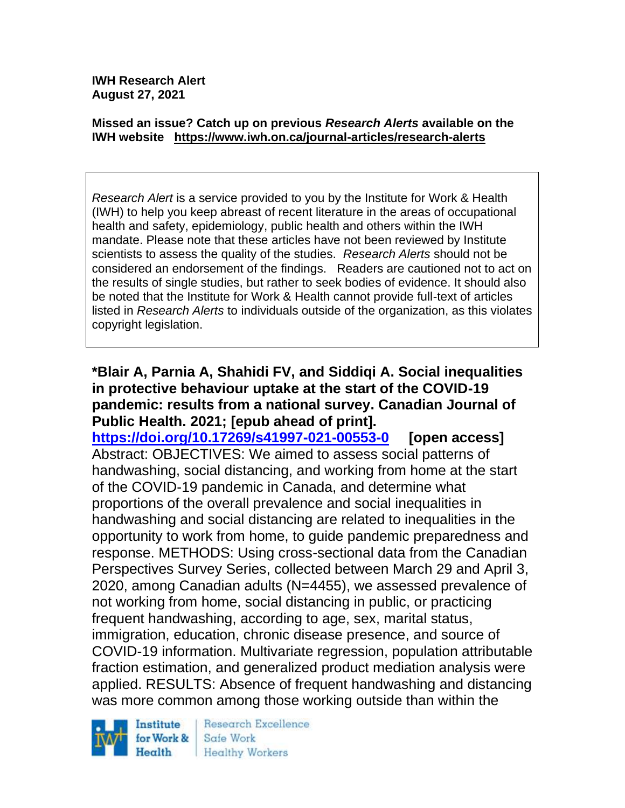**IWH Research Alert August 27, 2021**

#### **Missed an issue? Catch up on previous** *Research Alerts* **available on the [IWH website](http://www.iwh.on.ca/research-alerts) <https://www.iwh.on.ca/journal-articles/research-alerts>**

*Research Alert* is a service provided to you by the Institute for Work & Health (IWH) to help you keep abreast of recent literature in the areas of occupational health and safety, epidemiology, public health and others within the IWH mandate. Please note that these articles have not been reviewed by Institute scientists to assess the quality of the studies. *Research Alerts* should not be considered an endorsement of the findings. Readers are cautioned not to act on the results of single studies, but rather to seek bodies of evidence. It should also be noted that the Institute for Work & Health cannot provide full-text of articles listed in *Research Alerts* to individuals outside of the organization, as this violates copyright legislation.

#### **\*Blair A, Parnia A, Shahidi FV, and Siddiqi A. Social inequalities in protective behaviour uptake at the start of the COVID-19 pandemic: results from a national survey. Canadian Journal of Public Health. 2021; [epub ahead of print].**

**<https://doi.org/10.17269/s41997-021-00553-0> [open access]** Abstract: OBJECTIVES: We aimed to assess social patterns of handwashing, social distancing, and working from home at the start of the COVID-19 pandemic in Canada, and determine what proportions of the overall prevalence and social inequalities in handwashing and social distancing are related to inequalities in the opportunity to work from home, to guide pandemic preparedness and response. METHODS: Using cross-sectional data from the Canadian Perspectives Survey Series, collected between March 29 and April 3, 2020, among Canadian adults (N=4455), we assessed prevalence of not working from home, social distancing in public, or practicing frequent handwashing, according to age, sex, marital status, immigration, education, chronic disease presence, and source of COVID-19 information. Multivariate regression, population attributable fraction estimation, and generalized product mediation analysis were applied. RESULTS: Absence of frequent handwashing and distancing was more common among those working outside than within the



Research Excellence Safe Work **Healthy Workers**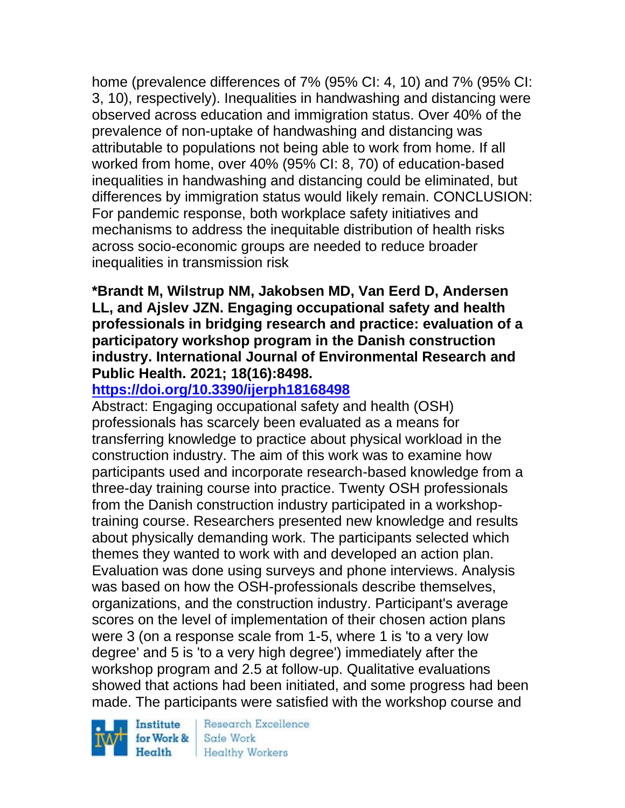home (prevalence differences of 7% (95% CI: 4, 10) and 7% (95% CI: 3, 10), respectively). Inequalities in handwashing and distancing were observed across education and immigration status. Over 40% of the prevalence of non-uptake of handwashing and distancing was attributable to populations not being able to work from home. If all worked from home, over 40% (95% CI: 8, 70) of education-based inequalities in handwashing and distancing could be eliminated, but differences by immigration status would likely remain. CONCLUSION: For pandemic response, both workplace safety initiatives and mechanisms to address the inequitable distribution of health risks across socio-economic groups are needed to reduce broader inequalities in transmission risk

### **\*Brandt M, Wilstrup NM, Jakobsen MD, Van Eerd D, Andersen LL, and Ajslev JZN. Engaging occupational safety and health professionals in bridging research and practice: evaluation of a participatory workshop program in the Danish construction industry. International Journal of Environmental Research and Public Health. 2021; 18(16):8498.**

# **<https://doi.org/10.3390/ijerph18168498>**

Abstract: Engaging occupational safety and health (OSH) professionals has scarcely been evaluated as a means for transferring knowledge to practice about physical workload in the construction industry. The aim of this work was to examine how participants used and incorporate research-based knowledge from a three-day training course into practice. Twenty OSH professionals from the Danish construction industry participated in a workshoptraining course. Researchers presented new knowledge and results about physically demanding work. The participants selected which themes they wanted to work with and developed an action plan. Evaluation was done using surveys and phone interviews. Analysis was based on how the OSH-professionals describe themselves, organizations, and the construction industry. Participant's average scores on the level of implementation of their chosen action plans were 3 (on a response scale from 1-5, where 1 is 'to a very low degree' and 5 is 'to a very high degree') immediately after the workshop program and 2.5 at follow-up. Qualitative evaluations showed that actions had been initiated, and some progress had been made. The participants were satisfied with the workshop course and

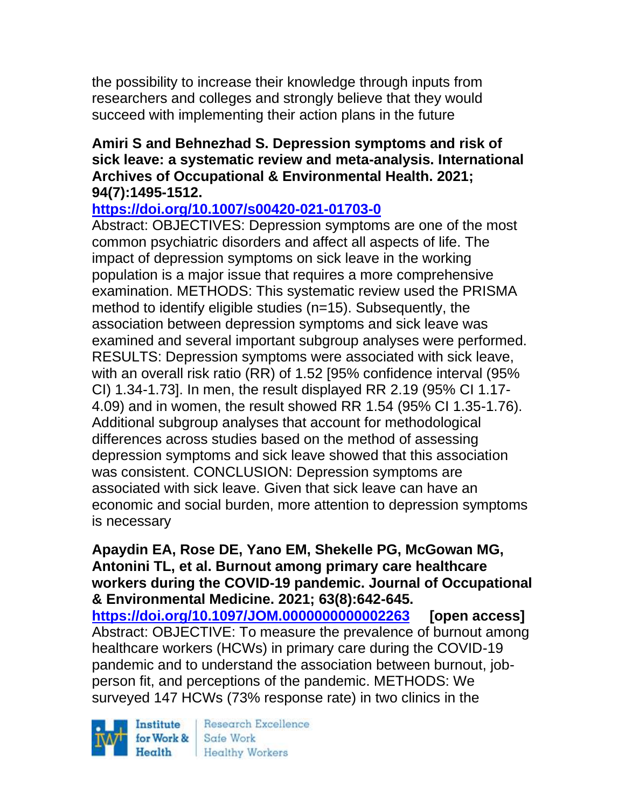the possibility to increase their knowledge through inputs from researchers and colleges and strongly believe that they would succeed with implementing their action plans in the future

### **Amiri S and Behnezhad S. Depression symptoms and risk of sick leave: a systematic review and meta-analysis. International Archives of Occupational & Environmental Health. 2021; 94(7):1495-1512.**

### **<https://doi.org/10.1007/s00420-021-01703-0>**

Abstract: OBJECTIVES: Depression symptoms are one of the most common psychiatric disorders and affect all aspects of life. The impact of depression symptoms on sick leave in the working population is a major issue that requires a more comprehensive examination. METHODS: This systematic review used the PRISMA method to identify eligible studies (n=15). Subsequently, the association between depression symptoms and sick leave was examined and several important subgroup analyses were performed. RESULTS: Depression symptoms were associated with sick leave, with an overall risk ratio (RR) of 1.52 [95% confidence interval (95% CI) 1.34-1.73]. In men, the result displayed RR 2.19 (95% CI 1.17- 4.09) and in women, the result showed RR 1.54 (95% CI 1.35-1.76). Additional subgroup analyses that account for methodological differences across studies based on the method of assessing depression symptoms and sick leave showed that this association was consistent. CONCLUSION: Depression symptoms are associated with sick leave. Given that sick leave can have an economic and social burden, more attention to depression symptoms is necessary

**Apaydin EA, Rose DE, Yano EM, Shekelle PG, McGowan MG, Antonini TL, et al. Burnout among primary care healthcare workers during the COVID-19 pandemic. Journal of Occupational & Environmental Medicine. 2021; 63(8):642-645. <https://doi.org/10.1097/JOM.0000000000002263> [open access]** Abstract: OBJECTIVE: To measure the prevalence of burnout among healthcare workers (HCWs) in primary care during the COVID-19 pandemic and to understand the association between burnout, jobperson fit, and perceptions of the pandemic. METHODS: We surveyed 147 HCWs (73% response rate) in two clinics in the

Institute Health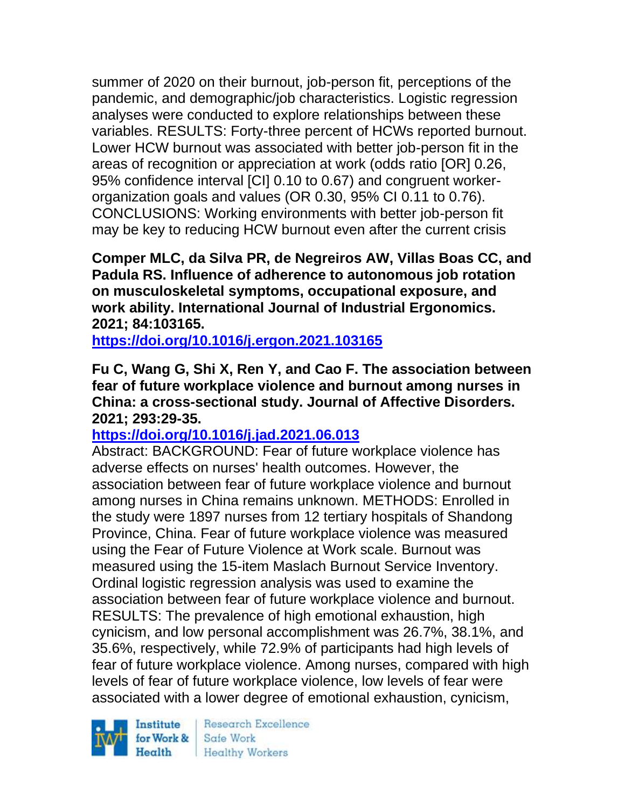summer of 2020 on their burnout, job-person fit, perceptions of the pandemic, and demographic/job characteristics. Logistic regression analyses were conducted to explore relationships between these variables. RESULTS: Forty-three percent of HCWs reported burnout. Lower HCW burnout was associated with better job-person fit in the areas of recognition or appreciation at work (odds ratio [OR] 0.26, 95% confidence interval [CI] 0.10 to 0.67) and congruent workerorganization goals and values (OR 0.30, 95% CI 0.11 to 0.76). CONCLUSIONS: Working environments with better job-person fit may be key to reducing HCW burnout even after the current crisis

**Comper MLC, da Silva PR, de Negreiros AW, Villas Boas CC, and Padula RS. Influence of adherence to autonomous job rotation on musculoskeletal symptoms, occupational exposure, and work ability. International Journal of Industrial Ergonomics. 2021; 84:103165.**

**<https://doi.org/10.1016/j.ergon.2021.103165>** 

**Fu C, Wang G, Shi X, Ren Y, and Cao F. The association between fear of future workplace violence and burnout among nurses in China: a cross-sectional study. Journal of Affective Disorders. 2021; 293:29-35.** 

**<https://doi.org/10.1016/j.jad.2021.06.013>** 

Abstract: BACKGROUND: Fear of future workplace violence has adverse effects on nurses' health outcomes. However, the association between fear of future workplace violence and burnout among nurses in China remains unknown. METHODS: Enrolled in the study were 1897 nurses from 12 tertiary hospitals of Shandong Province, China. Fear of future workplace violence was measured using the Fear of Future Violence at Work scale. Burnout was measured using the 15-item Maslach Burnout Service Inventory. Ordinal logistic regression analysis was used to examine the association between fear of future workplace violence and burnout. RESULTS: The prevalence of high emotional exhaustion, high cynicism, and low personal accomplishment was 26.7%, 38.1%, and 35.6%, respectively, while 72.9% of participants had high levels of fear of future workplace violence. Among nurses, compared with high levels of fear of future workplace violence, low levels of fear were associated with a lower degree of emotional exhaustion, cynicism,

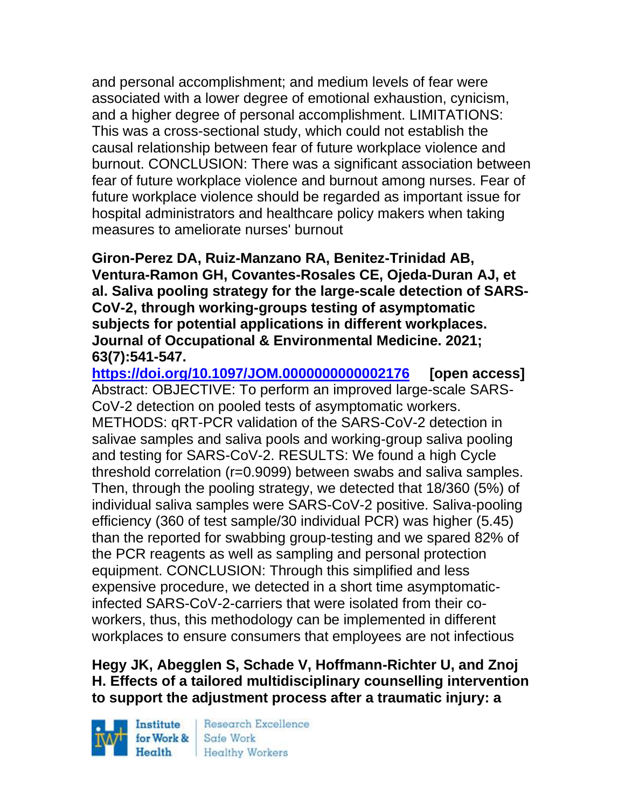and personal accomplishment; and medium levels of fear were associated with a lower degree of emotional exhaustion, cynicism, and a higher degree of personal accomplishment. LIMITATIONS: This was a cross-sectional study, which could not establish the causal relationship between fear of future workplace violence and burnout. CONCLUSION: There was a significant association between fear of future workplace violence and burnout among nurses. Fear of future workplace violence should be regarded as important issue for hospital administrators and healthcare policy makers when taking measures to ameliorate nurses' burnout

**Giron-Perez DA, Ruiz-Manzano RA, Benitez-Trinidad AB, Ventura-Ramon GH, Covantes-Rosales CE, Ojeda-Duran AJ, et al. Saliva pooling strategy for the large-scale detection of SARS-CoV-2, through working-groups testing of asymptomatic subjects for potential applications in different workplaces. Journal of Occupational & Environmental Medicine. 2021; 63(7):541-547.** 

**<https://doi.org/10.1097/JOM.0000000000002176> [open access]** Abstract: OBJECTIVE: To perform an improved large-scale SARS-CoV-2 detection on pooled tests of asymptomatic workers. METHODS: qRT-PCR validation of the SARS-CoV-2 detection in salivae samples and saliva pools and working-group saliva pooling and testing for SARS-CoV-2. RESULTS: We found a high Cycle threshold correlation (r=0.9099) between swabs and saliva samples. Then, through the pooling strategy, we detected that 18/360 (5%) of individual saliva samples were SARS-CoV-2 positive. Saliva-pooling efficiency (360 of test sample/30 individual PCR) was higher (5.45) than the reported for swabbing group-testing and we spared 82% of the PCR reagents as well as sampling and personal protection equipment. CONCLUSION: Through this simplified and less expensive procedure, we detected in a short time asymptomaticinfected SARS-CoV-2-carriers that were isolated from their coworkers, thus, this methodology can be implemented in different workplaces to ensure consumers that employees are not infectious

## **Hegy JK, Abegglen S, Schade V, Hoffmann-Richter U, and Znoj H. Effects of a tailored multidisciplinary counselling intervention to support the adjustment process after a traumatic injury: a**

Institute Health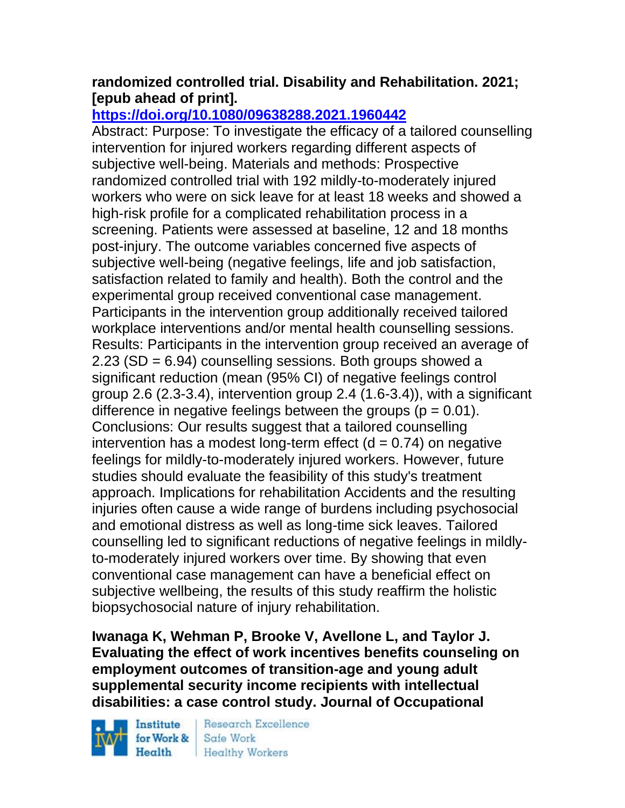### **randomized controlled trial. Disability and Rehabilitation. 2021; [epub ahead of print].**

## **<https://doi.org/10.1080/09638288.2021.1960442>**

Abstract: Purpose: To investigate the efficacy of a tailored counselling intervention for injured workers regarding different aspects of subjective well-being. Materials and methods: Prospective randomized controlled trial with 192 mildly-to-moderately injured workers who were on sick leave for at least 18 weeks and showed a high-risk profile for a complicated rehabilitation process in a screening. Patients were assessed at baseline, 12 and 18 months post-injury. The outcome variables concerned five aspects of subjective well-being (negative feelings, life and job satisfaction, satisfaction related to family and health). Both the control and the experimental group received conventional case management. Participants in the intervention group additionally received tailored workplace interventions and/or mental health counselling sessions. Results: Participants in the intervention group received an average of 2.23 (SD = 6.94) counselling sessions. Both groups showed a significant reduction (mean (95% CI) of negative feelings control group 2.6 (2.3-3.4), intervention group 2.4 (1.6-3.4)), with a significant difference in negative feelings between the groups ( $p = 0.01$ ). Conclusions: Our results suggest that a tailored counselling intervention has a modest long-term effect  $(d = 0.74)$  on negative feelings for mildly-to-moderately injured workers. However, future studies should evaluate the feasibility of this study's treatment approach. Implications for rehabilitation Accidents and the resulting injuries often cause a wide range of burdens including psychosocial and emotional distress as well as long-time sick leaves. Tailored counselling led to significant reductions of negative feelings in mildlyto-moderately injured workers over time. By showing that even conventional case management can have a beneficial effect on subjective wellbeing, the results of this study reaffirm the holistic biopsychosocial nature of injury rehabilitation.

**Iwanaga K, Wehman P, Brooke V, Avellone L, and Taylor J. Evaluating the effect of work incentives benefits counseling on employment outcomes of transition-age and young adult supplemental security income recipients with intellectual disabilities: a case control study. Journal of Occupational** 

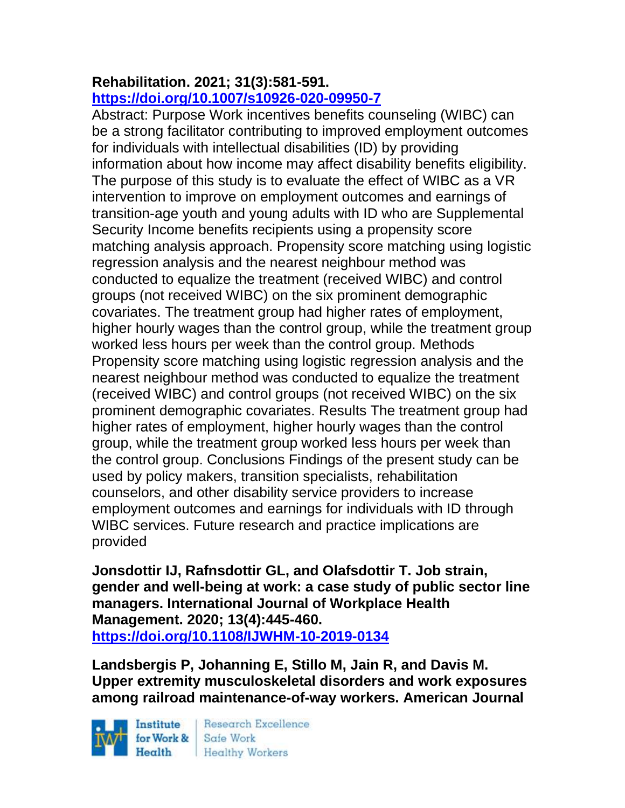#### **Rehabilitation. 2021; 31(3):581-591. <https://doi.org/10.1007/s10926-020-09950-7>**

Abstract: Purpose Work incentives benefits counseling (WIBC) can be a strong facilitator contributing to improved employment outcomes for individuals with intellectual disabilities (ID) by providing information about how income may affect disability benefits eligibility. The purpose of this study is to evaluate the effect of WIBC as a VR intervention to improve on employment outcomes and earnings of transition-age youth and young adults with ID who are Supplemental Security Income benefits recipients using a propensity score matching analysis approach. Propensity score matching using logistic regression analysis and the nearest neighbour method was conducted to equalize the treatment (received WIBC) and control groups (not received WIBC) on the six prominent demographic covariates. The treatment group had higher rates of employment, higher hourly wages than the control group, while the treatment group worked less hours per week than the control group. Methods Propensity score matching using logistic regression analysis and the nearest neighbour method was conducted to equalize the treatment (received WIBC) and control groups (not received WIBC) on the six prominent demographic covariates. Results The treatment group had higher rates of employment, higher hourly wages than the control group, while the treatment group worked less hours per week than the control group. Conclusions Findings of the present study can be used by policy makers, transition specialists, rehabilitation counselors, and other disability service providers to increase employment outcomes and earnings for individuals with ID through WIBC services. Future research and practice implications are provided

**Jonsdottir IJ, Rafnsdottir GL, and Olafsdottir T. Job strain, gender and well-being at work: a case study of public sector line managers. International Journal of Workplace Health Management. 2020; 13(4):445-460. <https://doi.org/10.1108/IJWHM-10-2019-0134>** 

**Landsbergis P, Johanning E, Stillo M, Jain R, and Davis M. Upper extremity musculoskeletal disorders and work exposures among railroad maintenance-of-way workers. American Journal** 

Institute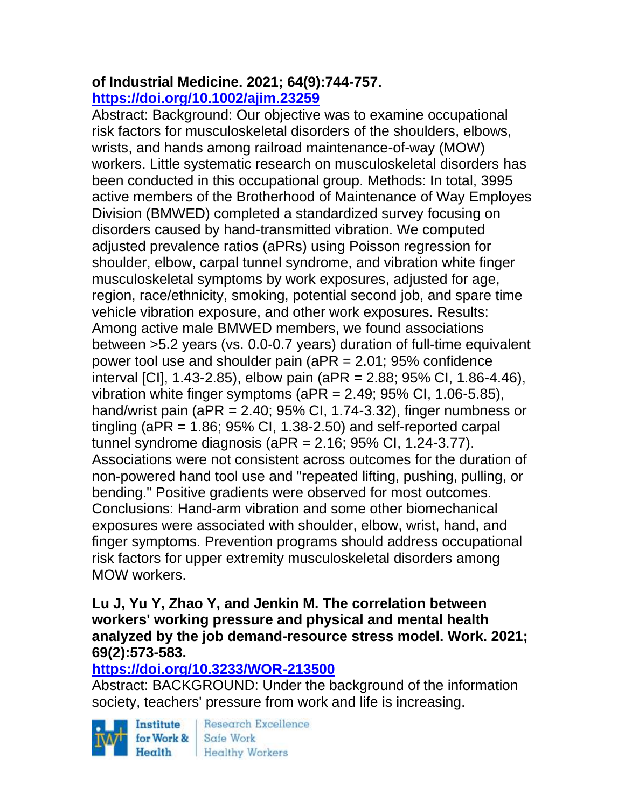### **of Industrial Medicine. 2021; 64(9):744-757. <https://doi.org/10.1002/ajim.23259>**

Abstract: Background: Our objective was to examine occupational risk factors for musculoskeletal disorders of the shoulders, elbows, wrists, and hands among railroad maintenance-of-way (MOW) workers. Little systematic research on musculoskeletal disorders has been conducted in this occupational group. Methods: In total, 3995 active members of the Brotherhood of Maintenance of Way Employes Division (BMWED) completed a standardized survey focusing on disorders caused by hand-transmitted vibration. We computed adjusted prevalence ratios (aPRs) using Poisson regression for shoulder, elbow, carpal tunnel syndrome, and vibration white finger musculoskeletal symptoms by work exposures, adjusted for age, region, race/ethnicity, smoking, potential second job, and spare time vehicle vibration exposure, and other work exposures. Results: Among active male BMWED members, we found associations between >5.2 years (vs. 0.0-0.7 years) duration of full-time equivalent power tool use and shoulder pain (aPR = 2.01; 95% confidence interval [CI], 1.43-2.85), elbow pain (aPR = 2.88; 95% CI, 1.86-4.46), vibration white finger symptoms (aPR = 2.49; 95% CI, 1.06-5.85), hand/wrist pain ( $aPR = 2.40$ ; 95% CI, 1.74-3.32), finger numbness or tingling (aPR =  $1.86$ ;  $95\%$  Cl,  $1.38-2.50$ ) and self-reported carpal tunnel syndrome diagnosis (aPR = 2.16; 95% CI, 1.24-3.77). Associations were not consistent across outcomes for the duration of non-powered hand tool use and "repeated lifting, pushing, pulling, or bending." Positive gradients were observed for most outcomes. Conclusions: Hand-arm vibration and some other biomechanical exposures were associated with shoulder, elbow, wrist, hand, and finger symptoms. Prevention programs should address occupational risk factors for upper extremity musculoskeletal disorders among MOW workers.

#### **Lu J, Yu Y, Zhao Y, and Jenkin M. The correlation between workers' working pressure and physical and mental health analyzed by the job demand-resource stress model. Work. 2021; 69(2):573-583.**

### **<https://doi.org/10.3233/WOR-213500>**

Abstract: BACKGROUND: Under the background of the information society, teachers' pressure from work and life is increasing.



**Research Excellence** Health Healthy Workers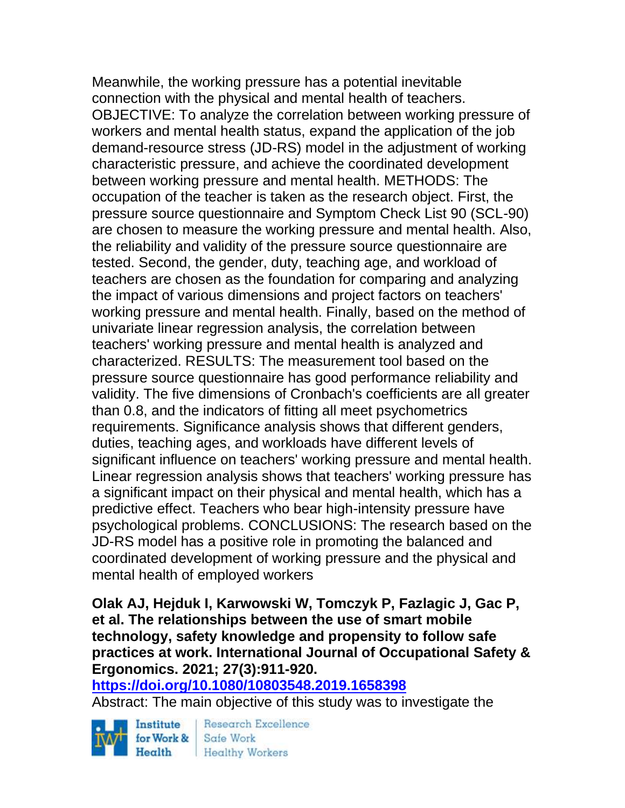Meanwhile, the working pressure has a potential inevitable connection with the physical and mental health of teachers. OBJECTIVE: To analyze the correlation between working pressure of workers and mental health status, expand the application of the job demand-resource stress (JD-RS) model in the adjustment of working characteristic pressure, and achieve the coordinated development between working pressure and mental health. METHODS: The occupation of the teacher is taken as the research object. First, the pressure source questionnaire and Symptom Check List 90 (SCL-90) are chosen to measure the working pressure and mental health. Also, the reliability and validity of the pressure source questionnaire are tested. Second, the gender, duty, teaching age, and workload of teachers are chosen as the foundation for comparing and analyzing the impact of various dimensions and project factors on teachers' working pressure and mental health. Finally, based on the method of univariate linear regression analysis, the correlation between teachers' working pressure and mental health is analyzed and characterized. RESULTS: The measurement tool based on the pressure source questionnaire has good performance reliability and validity. The five dimensions of Cronbach's coefficients are all greater than 0.8, and the indicators of fitting all meet psychometrics requirements. Significance analysis shows that different genders, duties, teaching ages, and workloads have different levels of significant influence on teachers' working pressure and mental health. Linear regression analysis shows that teachers' working pressure has a significant impact on their physical and mental health, which has a predictive effect. Teachers who bear high-intensity pressure have psychological problems. CONCLUSIONS: The research based on the JD-RS model has a positive role in promoting the balanced and coordinated development of working pressure and the physical and mental health of employed workers

**Olak AJ, Hejduk I, Karwowski W, Tomczyk P, Fazlagic J, Gac P, et al. The relationships between the use of smart mobile technology, safety knowledge and propensity to follow safe practices at work. International Journal of Occupational Safety & Ergonomics. 2021; 27(3):911-920.** 

**<https://doi.org/10.1080/10803548.2019.1658398>** 

Abstract: The main objective of this study was to investigate the

Institute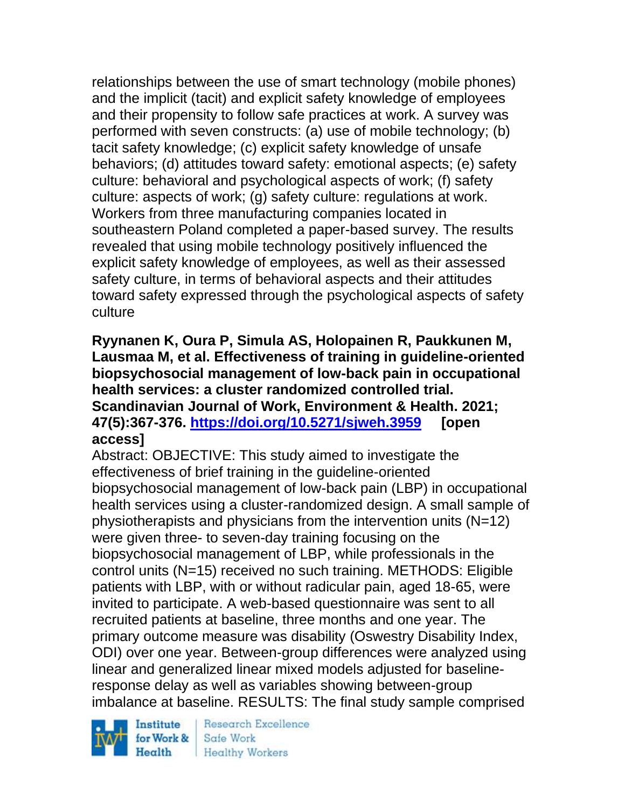relationships between the use of smart technology (mobile phones) and the implicit (tacit) and explicit safety knowledge of employees and their propensity to follow safe practices at work. A survey was performed with seven constructs: (a) use of mobile technology; (b) tacit safety knowledge; (c) explicit safety knowledge of unsafe behaviors; (d) attitudes toward safety: emotional aspects; (e) safety culture: behavioral and psychological aspects of work; (f) safety culture: aspects of work; (g) safety culture: regulations at work. Workers from three manufacturing companies located in southeastern Poland completed a paper-based survey. The results revealed that using mobile technology positively influenced the explicit safety knowledge of employees, as well as their assessed safety culture, in terms of behavioral aspects and their attitudes toward safety expressed through the psychological aspects of safety culture

**Ryynanen K, Oura P, Simula AS, Holopainen R, Paukkunen M, Lausmaa M, et al. Effectiveness of training in guideline-oriented biopsychosocial management of low-back pain in occupational health services: a cluster randomized controlled trial. Scandinavian Journal of Work, Environment & Health. 2021; 47(5):367-376.<https://doi.org/10.5271/sjweh.3959> [open access]**

Abstract: OBJECTIVE: This study aimed to investigate the effectiveness of brief training in the guideline-oriented biopsychosocial management of low-back pain (LBP) in occupational health services using a cluster-randomized design. A small sample of physiotherapists and physicians from the intervention units (N=12) were given three- to seven-day training focusing on the biopsychosocial management of LBP, while professionals in the control units (N=15) received no such training. METHODS: Eligible patients with LBP, with or without radicular pain, aged 18-65, were invited to participate. A web-based questionnaire was sent to all recruited patients at baseline, three months and one year. The primary outcome measure was disability (Oswestry Disability Index, ODI) over one year. Between-group differences were analyzed using linear and generalized linear mixed models adjusted for baselineresponse delay as well as variables showing between-group imbalance at baseline. RESULTS: The final study sample comprised

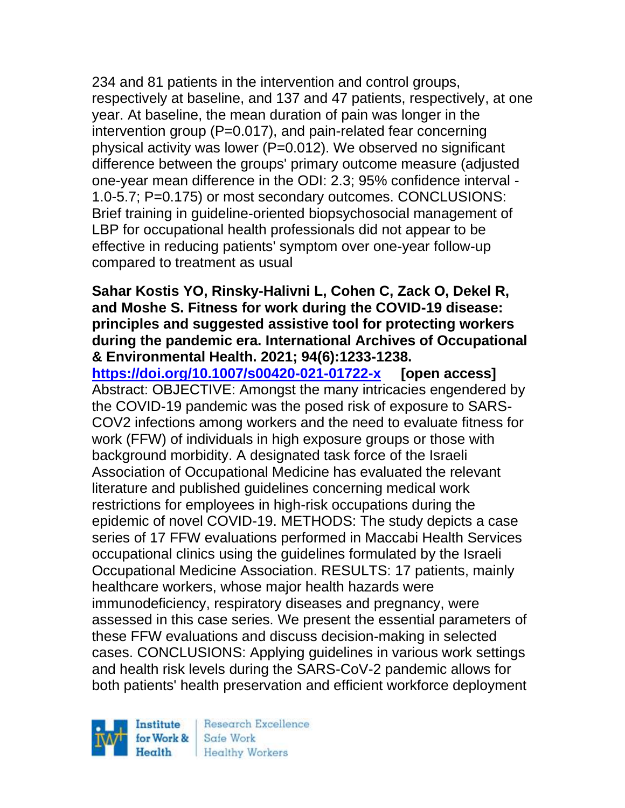234 and 81 patients in the intervention and control groups, respectively at baseline, and 137 and 47 patients, respectively, at one year. At baseline, the mean duration of pain was longer in the intervention group (P=0.017), and pain-related fear concerning physical activity was lower (P=0.012). We observed no significant difference between the groups' primary outcome measure (adjusted one-year mean difference in the ODI: 2.3; 95% confidence interval - 1.0-5.7; P=0.175) or most secondary outcomes. CONCLUSIONS: Brief training in guideline-oriented biopsychosocial management of LBP for occupational health professionals did not appear to be effective in reducing patients' symptom over one-year follow-up compared to treatment as usual

#### **Sahar Kostis YO, Rinsky-Halivni L, Cohen C, Zack O, Dekel R, and Moshe S. Fitness for work during the COVID-19 disease: principles and suggested assistive tool for protecting workers during the pandemic era. International Archives of Occupational & Environmental Health. 2021; 94(6):1233-1238.**

**<https://doi.org/10.1007/s00420-021-01722-x> [open access]** Abstract: OBJECTIVE: Amongst the many intricacies engendered by the COVID-19 pandemic was the posed risk of exposure to SARS-COV2 infections among workers and the need to evaluate fitness for work (FFW) of individuals in high exposure groups or those with background morbidity. A designated task force of the Israeli Association of Occupational Medicine has evaluated the relevant literature and published guidelines concerning medical work restrictions for employees in high-risk occupations during the epidemic of novel COVID-19. METHODS: The study depicts a case series of 17 FFW evaluations performed in Maccabi Health Services occupational clinics using the guidelines formulated by the Israeli Occupational Medicine Association. RESULTS: 17 patients, mainly healthcare workers, whose major health hazards were immunodeficiency, respiratory diseases and pregnancy, were assessed in this case series. We present the essential parameters of these FFW evaluations and discuss decision-making in selected cases. CONCLUSIONS: Applying guidelines in various work settings and health risk levels during the SARS-CoV-2 pandemic allows for both patients' health preservation and efficient workforce deployment